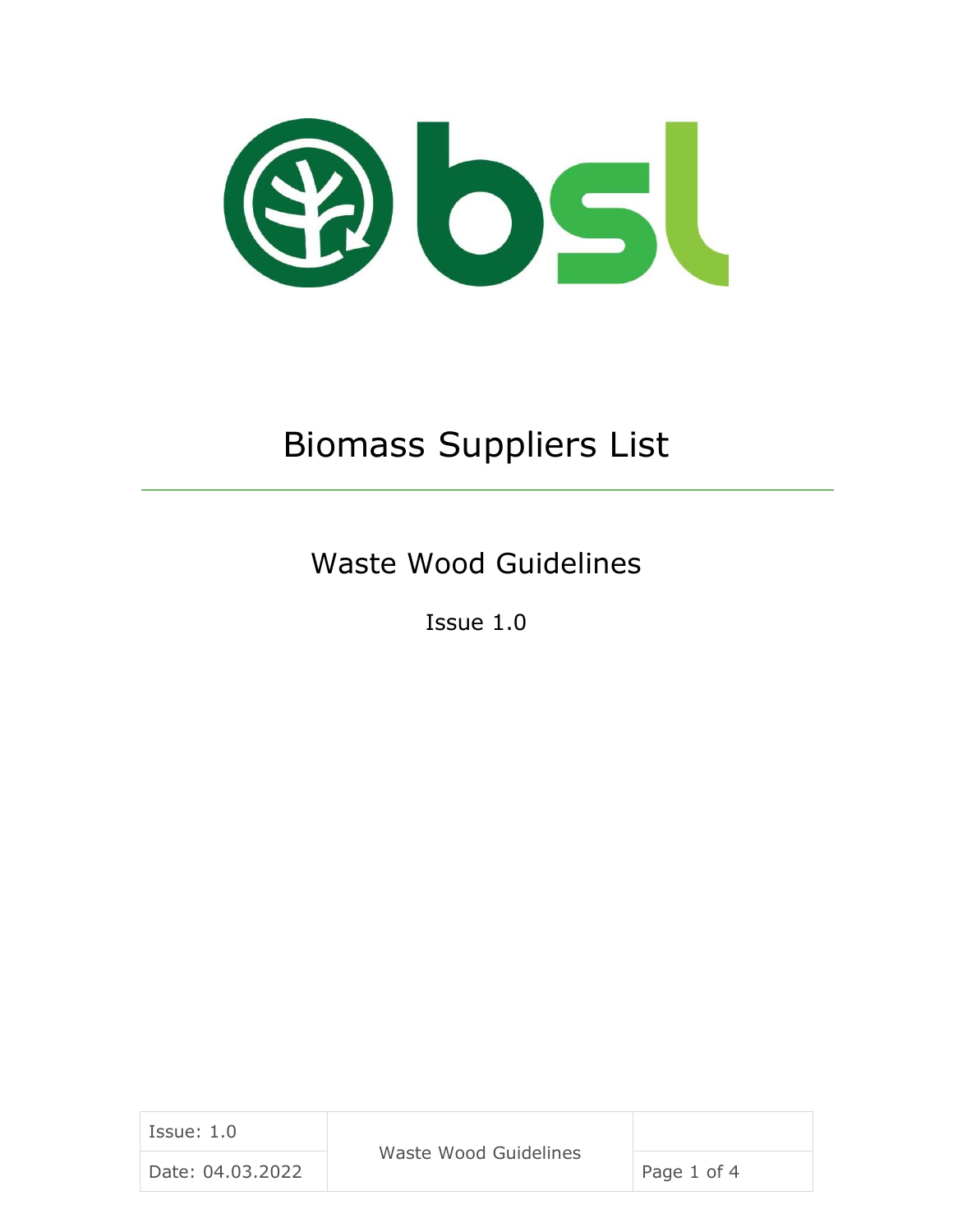

# Biomass Suppliers List

Waste Wood Guidelines

Issue 1.0

| Issue: 1.0       | Waste Wood Guidelines |             |
|------------------|-----------------------|-------------|
| Date: 04.03.2022 |                       | Page 1 of 4 |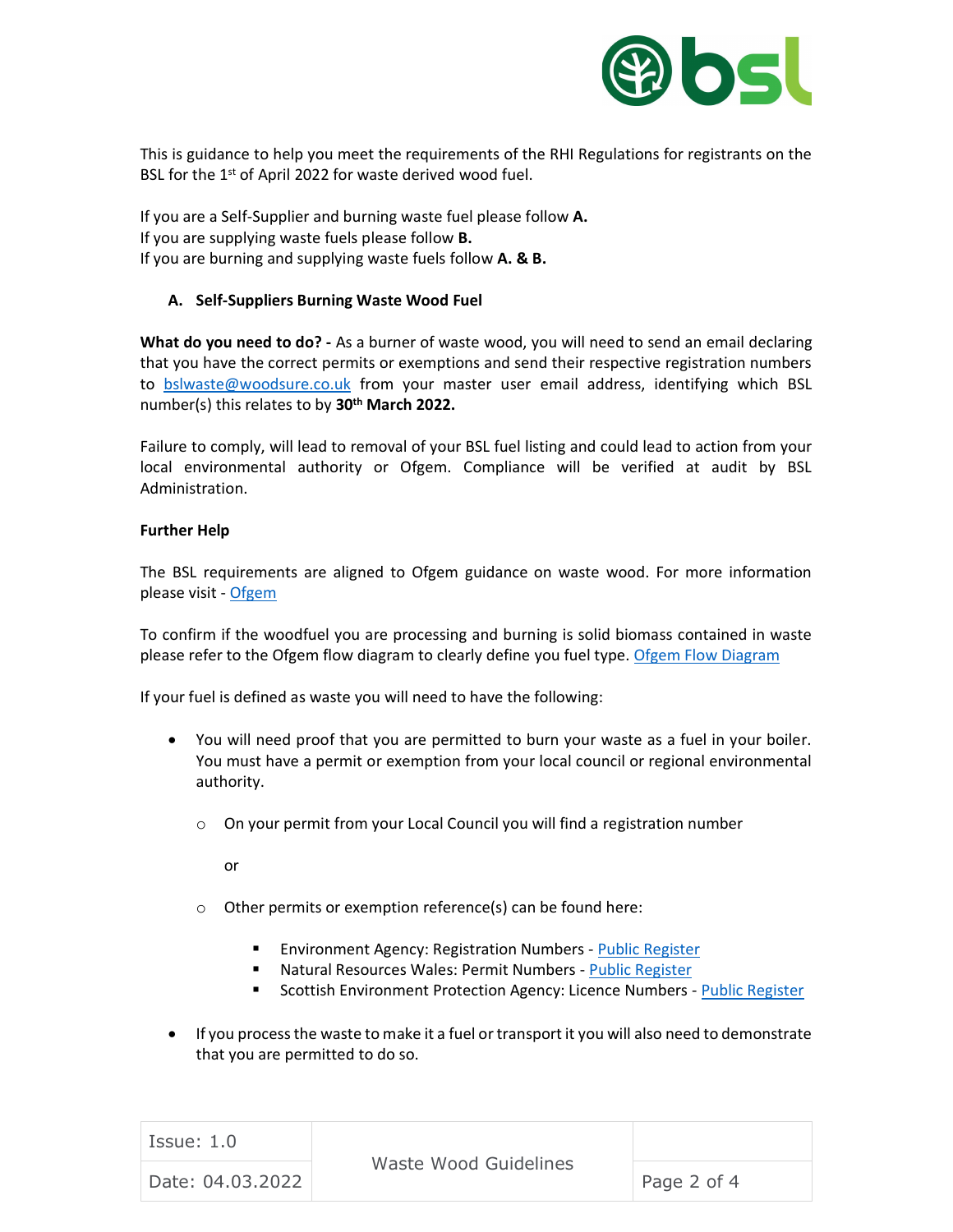

This is guidance to help you meet the requirements of the RHI Regulations for registrants on the BSL for the 1<sup>st</sup> of April 2022 for waste derived wood fuel.

If you are a Self-Supplier and burning waste fuel please follow **A.** If you are supplying waste fuels please follow **B.** If you are burning and supplying waste fuels follow **A. & B.**

### **A. Self-Suppliers Burning Waste Wood Fuel**

**What do you need to do? -** As a burner of waste wood, you will need to send an email declaring that you have the correct permits or exemptions and send their respective registration numbers to [bslwaste@woodsure.co.uk](mailto:bslwaste@woodsure.co.uk) from your master user email address, identifying which BSL number(s) this relates to by **30th March 2022.**

Failure to comply, will lead to removal of your BSL fuel listing and could lead to action from your local environmental authority or Ofgem. Compliance will be verified at audit by BSL Administration.

### **Further Help**

The BSL requirements are aligned to Ofgem guidance on waste wood. For more information please visit - [Ofgem](https://www.ofgem.gov.uk/publications/waste-wood-burning-right-wood)

To confirm if the woodfuel you are processing and burning is solid biomass contained in waste please refer to the Ofgem flow diagram to clearly define you fuel type. [Ofgem Flow Diagram](https://www.ofgem.gov.uk/publications/renewables-obligation-fuel-classification-flow-diagram)

If your fuel is defined as waste you will need to have the following:

- You will need proof that you are permitted to burn your waste as a fuel in your boiler. You must have a permit or exemption from your local council or regional environmental authority.
	- $\circ$  On your permit from your Local Council you will find a registration number

or

- o Other permits or exemption reference(s) can be found here:
	- Environment Agency: Registration Numbers [Public Register](https://environment.data.gov.uk/public-register/view/index)
	- Natural Resources Wales: Permit Numbers [Public Register](https://naturalresources.wales/permits-and-permissions/check-for-a-permit-licence-or-exemption/?lang=en)
	- Scottish Environment Protection Agency: Licence Numbers [Public Register](https://beta.sepa.org.uk/publicregister/)
- If you process the waste to make it a fuel or transport it you will also need to demonstrate that you are permitted to do so.

| Issue: 1.0       | Waste Wood Guidelines |             |
|------------------|-----------------------|-------------|
| Date: 04.03.2022 |                       | Page 2 of 4 |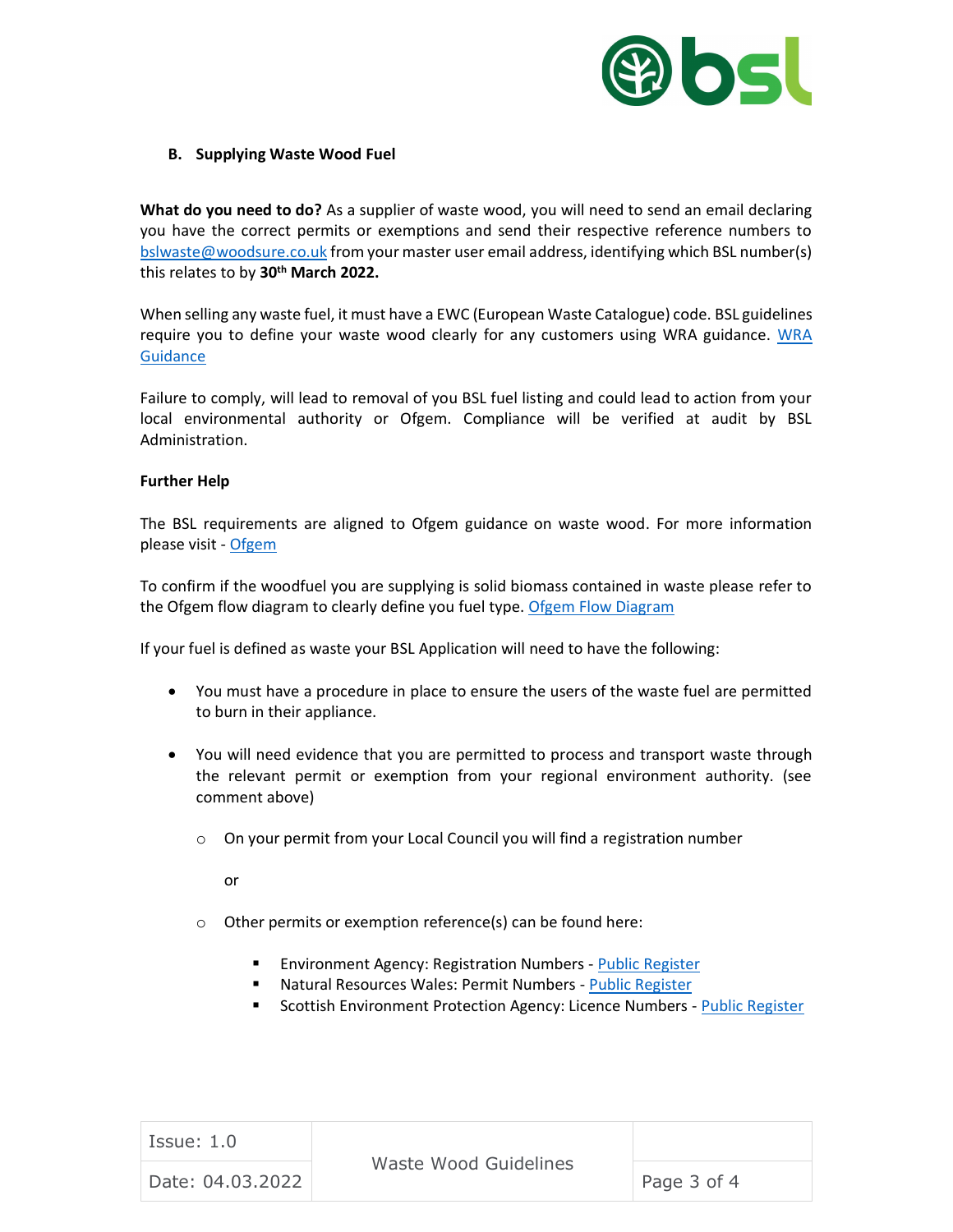

#### **B. Supplying Waste Wood Fuel**

**What do you need to do?** As a supplier of waste wood, you will need to send an email declaring you have the correct permits or exemptions and send their respective reference numbers to [bslwaste@woodsure.co.uk](mailto:bslwaste@woodsure.co.uk) from your master user email address, identifying which BSL number(s) this relates to by **30th March 2022.**

When selling any waste fuel, it must have a EWC (European Waste Catalogue) code. BSL guidelines require you to define your waste wood clearly for any customers using WRA guidance. [WRA](https://woodrecyclers.org/wp-content/uploads/WRA-Waste-Wood-Assessment-Guidance-V2-November-2021.pdf)  **[Guidance](https://woodrecyclers.org/wp-content/uploads/WRA-Waste-Wood-Assessment-Guidance-V2-November-2021.pdf)** 

Failure to comply, will lead to removal of you BSL fuel listing and could lead to action from your local environmental authority or Ofgem. Compliance will be verified at audit by BSL Administration.

#### **Further Help**

The BSL requirements are aligned to Ofgem guidance on waste wood. For more information please visit - [Ofgem](https://www.ofgem.gov.uk/publications/waste-wood-burning-right-wood)

To confirm if the woodfuel you are supplying is solid biomass contained in waste please refer to the Ofgem flow diagram to clearly define you fuel type. [Ofgem Flow Diagram](https://www.ofgem.gov.uk/publications/renewables-obligation-fuel-classification-flow-diagram)

If your fuel is defined as waste your BSL Application will need to have the following:

- You must have a procedure in place to ensure the users of the waste fuel are permitted to burn in their appliance.
- You will need evidence that you are permitted to process and transport waste through the relevant permit or exemption from your regional environment authority. (see comment above)
	- o On your permit from your Local Council you will find a registration number

or

- o Other permits or exemption reference(s) can be found here:
	- Environment Agency: Registration Numbers [Public Register](https://environment.data.gov.uk/public-register/view/index)
	- Natural Resources Wales: Permit Numbers [Public Register](https://naturalresources.wales/permits-and-permissions/check-for-a-permit-licence-or-exemption/?lang=en)
	- Scottish Environment Protection Agency: Licence Numbers [Public Register](https://beta.sepa.org.uk/publicregister/)

| Issue: 1.0       | Waste Wood Guidelines |             |
|------------------|-----------------------|-------------|
| Date: 04.03.2022 |                       | Page 3 of 4 |